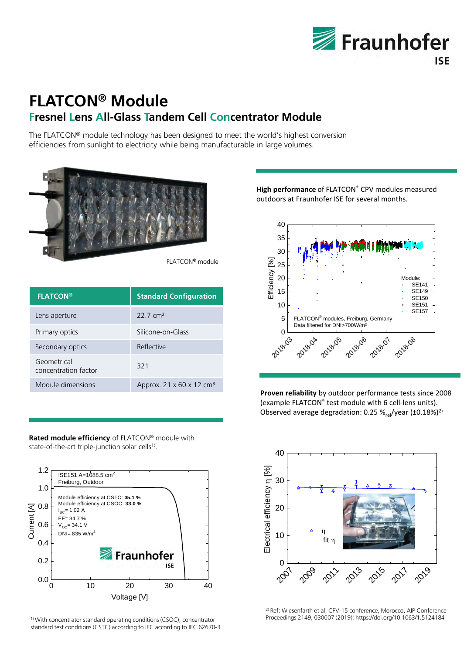

# **FLATCON® Module Fresnel Lens All-Glass Tandem Cell Concentrator Module**

The FLATCON® module technology has been designed to meet the world's highest conversion efficiencies from sunlight to electricity while being manufacturable in large volumes.



| <b>FLATCON®</b>                     | <b>Standard Configuration</b>                      |
|-------------------------------------|----------------------------------------------------|
| Lens aperture                       | $22.7 \text{ cm}^2$                                |
| Primary optics                      | Silicone-on-Glass                                  |
| Secondary optics                    | Reflective                                         |
| Geometrical<br>concentration factor | 321                                                |
| Module dimensions                   | Approx. 21 $\times$ 60 $\times$ 12 cm <sup>3</sup> |

**Rated module efficiency** of FLATCON® module with state-of-the-art triple-junction solar cells<sup>1)</sup>.



1) With concentrator standard operating conditions (CSOC), concentrator standard test conditions (CSTC) according to IEC according to IEC 62670‐3 **High performance** of FLATCON® CPV modules measured outdoors at Fraunhofer ISE for several months.



**Proven reliability** by outdoor performance tests since 2008 (example FLATCON® test module with 6 cell-lens units). Observed average degradation: 0.25  $\frac{1}{2}$  /year (±0.18%)<sup>2)</sup>



2) Ref: Wiesenfarth et al, CPV-15 conference, Morocco, AIP Conference Proceedings 2149, 030007 (2019); https://doi.org/10.1063/1.5124184